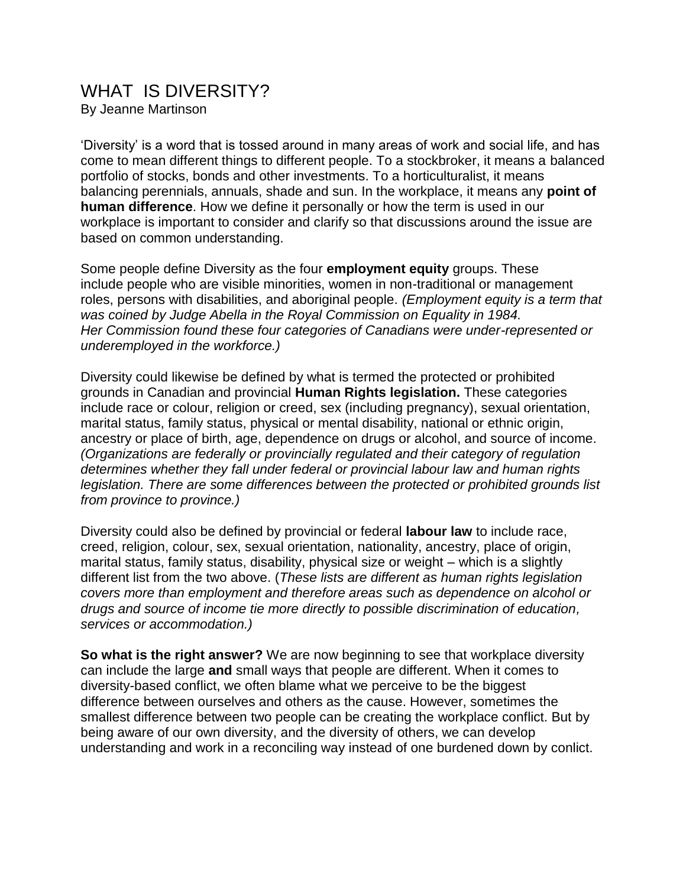## WHAT IS DIVERSITY?

By Jeanne Martinson

'Diversity' is a word that is tossed around in many areas of work and social life, and has come to mean different things to different people. To a stockbroker, it means a balanced portfolio of stocks, bonds and other investments. To a horticulturalist, it means balancing perennials, annuals, shade and sun. In the workplace, it means any **point of human difference**. How we define it personally or how the term is used in our workplace is important to consider and clarify so that discussions around the issue are based on common understanding.

Some people define Diversity as the four **employment equity** groups. These include people who are visible minorities, women in non-traditional or management roles, persons with disabilities, and aboriginal people. *(Employment equity is a term that was coined by Judge Abella in the Royal Commission on Equality in 1984. Her Commission found these four categories of Canadians were under-represented or underemployed in the workforce.)*

Diversity could likewise be defined by what is termed the protected or prohibited grounds in Canadian and provincial **Human Rights legislation.** These categories include race or colour, religion or creed, sex (including pregnancy), sexual orientation, marital status, family status, physical or mental disability, national or ethnic origin, ancestry or place of birth, age, dependence on drugs or alcohol, and source of income. *(Organizations are federally or provincially regulated and their category of regulation determines whether they fall under federal or provincial labour law and human rights legislation. There are some differences between the protected or prohibited grounds list from province to province.)*

Diversity could also be defined by provincial or federal **labour law** to include race, creed, religion, colour, sex, sexual orientation, nationality, ancestry, place of origin, marital status, family status, disability, physical size or weight – which is a slightly different list from the two above. (*These lists are different as human rights legislation covers more than employment and therefore areas such as dependence on alcohol or drugs and source of income tie more directly to possible discrimination of education, services or accommodation.)*

**So what is the right answer?** We are now beginning to see that workplace diversity can include the large **and** small ways that people are different. When it comes to diversity-based conflict, we often blame what we perceive to be the biggest difference between ourselves and others as the cause. However, sometimes the smallest difference between two people can be creating the workplace conflict. But by being aware of our own diversity, and the diversity of others, we can develop understanding and work in a reconciling way instead of one burdened down by conlict.